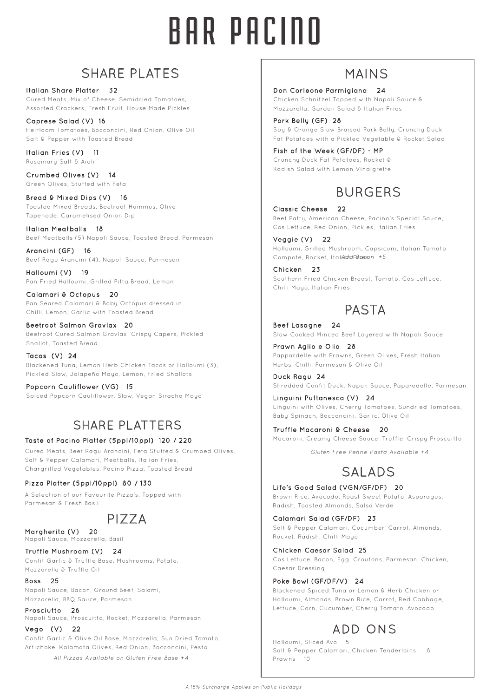# BAR PACINO

## SHARE PLATES

Italian Share Platter 32 Cured Meats, Mix of Cheese, Semidried Tomatoes, Assorted Crackers, Fresh Fruit, House Made Pickles

Caprese Salad (V) 16 Heirloom Tomatoes, Bocconcini, Red Onion, Olive Oil, Salt & Pepper with Toasted Bread

Italian Fries (V) 11 Rosemary Salt & Aioli

Crumbed Olives (V) 14 Green Olives, Stuffed with Feta

Bread & Mixed Dips (V) 16 Toasted Mixed Breads, Beetroot Hummus, Olive Tapenade, Caramelised Onion Dip

Italian Meatballs 18 Beef Meatballs (5) Napoli Sauce, Toasted Bread, Parmesan

Arancini (GF) 16 Beef Ragu Arancini (4), Napoli Sauce, Parmesan

Halloumi (V) 19 Pan Fried Halloumi, Grilled Pitta Bread, Lemon

Calamari & Octopus 20 Pan Seared Calamari & Baby Octopus dressed in Chilli, Lemon, Garlic with Toasted Bread

Beetroot Salmon Gravlax 20 Beetroot Cured Salmon Gravlax, Crispy Capers, Pickled Shallot, Toasted Bread

Tacos (V) 24 Blackened Tuna, Lemon Herb Chicken Tacos or Halloumi (3), Pickled Slaw, Jalapeño Mayo, Lemon, Fried Shallots

Popcorn Cauliflower (VG) 15 Spiced Popcorn Cauliflower, Slaw, Vegan Siracha Mayo

# SHARE PLATTERS

#### Taste of Pacino Platter (5ppl/10ppl) 120 / 220

Cured Meats, Beef Ragu Arancini, Feta Stuffed & Crumbed Olives, Salt & Pepper Calamari, Meatballs, Italian Fries, Chargrilled Vegetables, Pacino Pizza, Toasted Bread

#### Pizza Platter (5ppl/10ppl) 80 / 130

A Selection of our Favourite Pizza's, Topped with Parmesan & Fresh Basil

## PIZZA

Margherita (V) 20 Napoli Sauce, Mozzarella, Basil

Truffle Mushroom (V) 24 Confit Garlic & Truffle Base, Mushrooms, Potato, Mozzarella & Truffle Oil

Boss 25 Napoli Sauce, Bacon, Ground Beef, Salami, Mozzarella, BBQ Sauce, Parmesan

Prosciutto 26 Napoli Sauce, Proscuitto, Rocket, Mozzarella, Parmesan

Vego (V) 22 Confit Garlic & Olive Oil Base, Mozzarella, Sun Dried Tomato, Artichoke, Kalamata Olives, Red Onion, Bocconcini, Pesto

*All Pizzas Available on Gluten Free Base +4*

## MAINS

Don Corleone Parmigiana 24

Chicken Schnitzel Topped with Napoli Sauce & Mozzarella, Garden Salad & Italian Fries

Pork Belly (GF) 28 Soy & Orange Slow Braised Pork Belly, Crunchy Duck Fat Potatoes with a Pickled Vegetable & Rocket Salad

Fish of the Week (GF/DF) - MP Crunchy Duck Fat Potatoes, Rocket & Radish Salad with Lemon Vinaigrette

# BURGERS

Classic Cheese 22 Beef Patty, American Cheese, Pacino's Special Sauce, Cos Lettuce, Red Onion, Pickles, Italian Fries

Veggie (V) 22 Halloumi, Grilled Mushroom, Capsicum, Italian Tomato Compote, Rocket, Italian FBass n +5

Chicken 23 Southern Fried Chicken Breast, Tomato, Cos Lettuce, Chilli Mayo, Italian Fries

# PASTA

Beef Lasagne 24 Slow Cooked Minced Beef Layered with Napoli Sauce

Prawn Aglio e Olio 28 Pappardelle with Prawns, Green Olives, Fresh Italian Herbs, Chilli, Parmesan & Olive Oil

Duck Ragu 24 Shredded Confit Duck, Napoli Sauce, Paparedelle, Parmesan

Linguini Puttanesca (V) 24 Linguini with Olives, Cherry Tomatoes, Sundried Tomatoes, Baby Spinach, Bocconcini, Garlic, Olive Oil

Truffle Macaroni & Cheese 20 Macaroni, Creamy Cheese Sauce, Truffle, Crispy Proscuitto

*Gluten Free Penne Pasta Available +4*

# SALADS

Life's Good Salad (VGN/GF/DF) 20 Brown Rice, Avocado, Roast Sweet Potato, Asparagus, Radish, Toasted Almonds, Salsa Verde

Calamari Salad (GF/DF) 23 Salt & Pepper Calamari, Cucumber, Carrot, Almonds, Rocket, Radish, Chilli Mayo

Chicken Caesar Salad 25 Cos Lettuce, Bacon, Egg, Croutons, Parmesan, Chicken, Caesar Dressing

#### Poke Bowl (GF/DF/V) 24

Blackened Spiced Tuna or Lemon & Herb Chicken or Halloumi, Almonds, Brown Rice, Carrot, Red Cabbage, Lettuce, Corn, Cucumber, Cherry Tomato, Avocado

# ADD ONS

Halloumi, Sliced Avo 5 Salt & Pepper Calamari, Chicken Tenderloins 8 Prawns 10